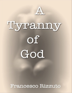

# Tyreamny  $\mathsf{of}$ God

Francesco Rizzuto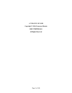# **A TYRANNY OF GOD Copyright © 2016 Francesco Rizzuto ISBN 9780995812611 All Rights Reserved**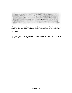EXPANDI MANYS MEAS TOTA DIE AP POPPLYM INCREDVINN IN VIA NON-BONATOST COULTAIN. POPYINS ONLADER CONSIDERED BIVING BUILDE

*"I have spread out my hands all the day to a rebellious people, which walks in a way that is not good, after their own thoughts; a people that provokes me to my face continually."*

Isaiah 65:2-3

Inscription in Latin and Hebrew, chiselled into the façade of the Church of San Gregorio Della Divina Pietà, Rome, Italy.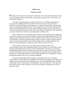# **Chapter One**

## **October 16, 1943**

His father had warned him about Signorina Malatesta. The Jewish-Italian nightingale of the Teatro dell'Opera di Roma could shatter a crystal goblet using only her vocal chords. And she had other skills too.

The tinkle of shattering glass reminded the little boy of La Malatesta although he'd never seen the songbird nor heard her warble. This time it wasn't Verdi or Puccini or Donizetti. It was pure Wagner. *Götterdämmerung*. A squad of German SS-Ordnungspolizei was busy trashing the Bordello Beatrice in Via Lungotevere dei Cenci while eight-year-old Adamo secreted himself inside an ornate walnut wardrobe with carved lion's paw feet and rose trimming and frolicking *putti* at the corners and a huge bevelled mirror door that had just now taken a lethal blow from the iron shoulder plate of a Mauser rifle.

With a sudden shove, the wounded cabinet tottered in uncertain dignity then thundered to the floor, coming to rest with the remnants of its door pressed tightly against the tiles. The soldier treated its slatted back panel to a final pounding with his gunstock, but the noble old wood held firm. Guttural voices barked angry orders in German; women and girls screamed and cursed and weeped in Italian. From inside the darkened box, Adamo heard the crisp clatter of iron-heeled jackboots rushing away down the grey marble staircase.

"*Raus! Schnell, schnell, jeder raus!* Hurry, hurry, outside everyone!" the Untersturmführer shouts while slashing randomly to left and right with a stiff leather switch that he'd requisitioned from one of the women's bedchambers. His orders are to clear the establishment, separate client from whore using a pry bar if necessary, then herd the riff-raff toward a marshaling yard set up at the nearby Theater of Marcellus. If any German military personnel or card-carrying Fascists or Axis-friendly diplomats or priests happened to turn up amongst the detainees, they are to be released unharmed.

SS-Obersturmbannführer Herbert Kappler is purging the Holy City. The raid is orchestrated by a stubby, lackluster subordinate with a fearsome reputation, SS-Captain Erik Priebke. Before the German forces abandon Rome to the advancing Allied armies, Kappler and Priebke will have resolved the 'Jewish Question' here once and for all. First, they will start with the whores, then work their way up the social ladder. By December, all will be reduced to ashes.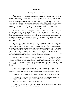#### **Chapter Two**

#### **January 1957 - Afternoon**

Father Adamo Di Domenico rests his slender frame on <sup>a</sup> red velvet cushion inside the center compartment of a carved baroque confessional in the chapel of San Gregorio Della Divina Pietà. A soft black cashmere scarf is tucked snugly under his chin for the cold and today he wears his pajamas inside his coal black cassock for extra insulation against the dampness. He waits here every Saturday afternoon for a handful of parishioners who come to confess all their small and large sins, receive absolution, then repeat the same offenses, usually the very same day. He feels like a frustrated laundrywoman. No matter how vigorously he scrubs their soiled consciences, they simply refuse to stay clean.

Worst of all, he hates the claustrophobia, sitting hour after hour inside the dim wooden box, like an upended coffin he thinks to himself, or the time as a frightened little boy in the ghetto when he found himself sealed inside a toppled *armadio*, no more that a stone's throw from where he sits today. After a few hours, he managed to struggle free by pounding with his stockinged feet then sliding sideways through a crack that opened in the bottom of the wardrobe, but only to discover that his entire world had quite suddenly and irreversibly collapsed.

But then what's a novice friar to do? His job is to listen patiently to their litany of sins then, with a few Pater Nosters or Ave Marias meted out in penance, to measure out God's forgiveness and reassure the penitent of His unceasing love, salve their guilty consciences, reaffirm their spiritual credit ratings, and send them back to their lives of petty rivalries and meaningless quarrelling. If the Devil himself were to kneel before him and beg forgiveness for his horns and pointed tail, say, or Adolph Hitler the murder of tens of millions of innocents, he would have been duty bound to forgive them. No act was so monstrous it could not be expiated with a few prayers or a discreet contribution in cash money.

That's how it worked, the young priest reminded himself. The Church instilled a guilt complex in the child for the serious mistake of having been born, then later for having lived. He knew the formula by heart. Next it offered a means of respite from the guilt. This too he knew by heart. It was pure marketing: create a need that wasn't there before then fill it with a product. That was his job now: product fulfillment. Sometimes, though, a person just came to talk.

When he feels the dull thud of the next anonymous penitent dropping onto the stiff, wooden kneeler to his left, he slides open the partition to reveal the dim outlines of a man, head bowed, cap in hand, making the sign of the cross on the opposite side of the screen.

"*Buona sera Don Adamo*, good evening Father Adamo," is how the fellow started.

"*In nomine Patris et Fillii et Spiritus Sancti*. *Salve, fratello*," the priest replied. "How can I help you, my brethren? Have you come to make your confession?"

"No father, no confession. I came bearing evidence."

"Evidence? What kind of evidence? Has another Christian erred and you're pointing a crooked finger at him? God does not like tattlers, you know!"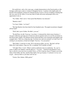He recalls how, only a few years ago, a simple denunciation to the Fascist police or the Gestapo could cause a man or woman to disappear forever. A jealous wife might easily rid herself of her husband's mistress by denouncing her rival as a Jewess in hiding or hinting that she was a spy for the Allies. It was easy then to settle old scores and people took every opportunity to do so.

"No, Father. That's not it. I have proof that Beatrice was innocent."

"Beatrice who?"

"La Cenci, Father. La Cenci!"

"But that Beatrice has been dead for four hundred years. The papal executioner chopped off her head!"

"Well, that's just it Father. He didn't, you see."

"He did Piero, he did. Trust me. I was there. I witnessed the whole messy business. I was just a little boy growing up in Trastevere and our parents took us to see the executions in the Piazza Sant'Angelo. We packed a picnic lunch and there were musicians and jugglers and a puppet show. That was a long time ago. Go home now and rest yourself. La Cenci won't be coming to you anymore, at least not tonight. Trust me. I'm your priest."

"But Father, I want her to come. We're having an affair, you see. But don't tell her father the Count; please, I beg you. He's a madman. He'll murder us both!"

"All right, Piero. I won't. What is said in confession stays in confession. So, you've come to admit your adultery with the ghost of – I'm sorry – with the living Beatrice Cenci. *Ego te absolvo a peccatis tuis in nomine Patris, et Filii et Spiritus Sancti*. I forgive you in the name of the Father, the Son, and the Holy Spirit. Now go in peace. *E salutami a la tua cara moglie*. And say hello to your dear wife for me."

"Grazie, Don Adamo. Mille grazie."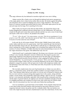# **Chapter Three**

#### **October 16, 1943 - Evening**

The angry afternoon sky has darkened to moonless night and a terse rain is falling.

Adamo scurries like a frantic sewer rat through the darkened and narrow passageways of the empty ghetto, but to where he has neither idea nor plan. He lurches against the pelting rain and pauses only to swipe his dripping nose across a soggy shirtsleeve. The staccato bursts of a runaway machine gun pound inside his chest, an invisible rapier pierces his side and acid seeps into his lungs. He is searching for his sister.

When Atalia was forced to look after her little brother, she packed him along to the brothel dragging their cardboard suitcases behind them over the cobblestones. He could run errands for the girls and women there and do odd jobs and that way earn a crust of stale bread and maybe a little wine to soften it, she pleaded to the madam.

"*É vero? Altro che può? Noi siamo putane, cara mia. Tutti devono guadagnarsi la sua propria crosta!* Oh, really? And what else can he do? Huh? This is a whorehouse, sweetheart. Everyone of us here earns her crust of bread!"

In the end, the sly old woman relented. With her dark, Middle Eastern looks and her youth, Atalia could turn out to be a good earner. And if she wanted the girl, then she had to take the kid brother along in the mix. She decided to outfit the boy as a Renaissance house dwarf, teaching him to bow deeply and juggle a trio of polished brass spheres like the three testicles of Lorenzo DiMedici, to boldly strut about her salon demonstrating *la mano fico* for the vulgar amusement of her guests. She dubbed him *Gufo*, the owl.

Atalia herself wasn't a particularly bright girl. Her dream was to become a movie queen at Rome's new Cinecittà, Mussolini's answer to Hollywood. She longed to see her seminaked image displayed in the pulp press and spread across the back page of Il Messaggero. Didn't Il Duce himself proclaim from the director's chair, gripping his bullhorn like an ancient blunderbuss, "*La cinematografia è l'arma più forte,*" that is, movie making is the most powerful weapon? Hitler may have invented the Blitzkrieg, but the showy Italian leader planned to conquer his enemies with reel upon reel of sultry Latin temptresses starkly clad and delineated, frame-after-frame, in 35mm black and white, the peculiar way that Fascism saw the world.

She was dark complexioned, sloe-eyed, big breasted and, as Adamo was soon able to observe, a natural born whore; all the basic qualities needed to succeed at Hollywood on the Tiber. Their absentee father had not sent money or even any news of himself in America, and the ever more restrictive measures being taken against Jews in the country, along with their mother's recent murder, had considerably reduced the siblings' odds for survival. Yet despite the boy's own insecurity and doubts, especially while trussed up like a truncated court fool and the object of general ridicule, his eighteen-year-old sister nonetheless thought of herself as a budding entertainer only needing to be discovered, after which time all would be made right. After all, she pointed out, they were really more Italian than anything else.

Life was nonetheless a good deal better at the bordello. Newly hopeful Atalia had only to laze about eating chocolate bonbons while perusing her dog-eared collection of movie magazines between visitors, the perfect start for a wannabe starlet. She even had her own room with a high four-poster bed and a chambermaid to renew the soiled linens. On the wall,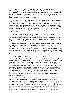in an elaborately carved, gold leaf embellished frame above the mattress, hung a large Mannerist oil painting of *Virgen Lactens*, milk from the Madonna's naked breasts spurting down in a warm shower over the tormented souls in Purgatory. Little Adamo, who was wiry and short for his age, slept on cushions inside the huge mirrored wardrobe in her room, a place where he often secreted himself while his sister serviced clients, listening in on the sound track without actually seeing the picture.

The whorehouse in Via Lungotevere dei Cenci was generally quiet until patrons began trickling in between two and four o'clock each afternoon, the time when shops and government offices shut down and Italian families celebrate their main meal together; the traditional hour when people accomplish their furtive couplings before returning to work or retiring to a favorite bar for an espresso or *digestivo* with their cronies. There was a regulated tranquility and dedication to purpose inside the Bordello Beatrice with its smartly costumed chambermaids and servers scurrying about their designated tasks in preparation for the evening soirée.

Languid young goddesses graced the reception hall, postured like flawless pink alabaster statues begging adoration, newly opened blossoms in the Campo dei Fiori, delicacies the flavor of *tartuffo* and the seductive aroma of *zagara*. The gentle and reassuring ambience admitted no hint of the turmoil brewing in the city outside, a welcoming oasis of purloined pleasures amidst the impending storm.

Clients openly praised the quality of merchandise and range of services on offer inside the establishment, at the same time secretly fearing its venerable madam, the Duchessa Chiara Montechiaro Della Grazia, an aged daughter of the city's so-called Black Nobility whose thick leather-bound diary read like the Devil's own breviary. Her florid, hand-lettered roster of high profile clients and their respective sexual proclivities promised a steady trickle of large-denomination Lira notes to keep this formidable old dame in comfortable retirement one day.

And what could be wrong with such an arrangement, anyway?

After all, Italy was the whore of the Mediterranean, the Duchess informed a gaggle of elegantly uniformed German officers over flutes of Spumante in her richly appointed drawing room each evening. The country lay flat on her back with her legs spread wide apart, teats bared to God's blue heaven, ready to embrace the barbarian and bear his bastard offspring. Why, there were more blue-eyed blonds and carrot tops in Roma or Napoli or Palermo, she pointed out, than Paris or Copenhagen or even Berlin; and now the country's brothels – and the Bordello Beatrice was no exception – were packed with *Tedeschi*, the Aryan supermen whose contribution Il Duce was convinced by Adolph Hitler would improve the Italian gene pool. It was written there in the Pact of Steel, she insisted, while her besotted guests toasted her continued good health. Wasn't it her patriotic duty to ensure that Il Duce's wishes were carried out to the letter?

In 1938, he and the diminutive Italian king had welcomed the German leader with an epic display of Fascist pageantry. They met him at the train then escorted Der Führer's motorcade straight to the Quirinal Palace, bypassing the Bordello Beatrice, which in any case was empty of clients that day since all of Rome packed the streets to cheer the spectacle of two liveried psychopaths and a failed monarch. Nonetheless, Donna Chiara had redecorated her salon at considerable expense for the occasion and put out a lavish buffet for three hundred guests. Along the balconies overlooking the boulevard, the clever madam boldly positioned her merchandise draped in sashes of green, white and red silk bunting with a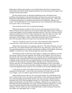gilded papier-mâché serpent pinned to each coifed forehead, like Fascist maenads and the closest thing to the fifteen marble apostles preaching to the clouds that grace the façade of the Cathedral of Saint John Lateran.

She then held her breath, an ailing heart palpitating inside a still-ample bosom, trembling with anticipation as the open limousines and motorcycle escort, horns and sirens blaring and multi-hued banners flying in the slipstream, sped on past her door. Afterwards, La Duchessa Montechiaro was depressed and retired to her bedchamber, refusing to see visitors. The Bordello Beatrice in Via Lungotevere dei Cenci remained closed and shuttered for an entire week, as if in mourning.

That was before the raid. Now everything had changed.

When the panting boy reaches the end of a narrow alley that opens into the Via del Portico d'Ottavia, he runs smack into a trio of men in black ankle-length cassocks with heavy woolen capes draped over their shoulders and black satin hats. They move in unison with the rainwater cascading from the rims of their mushroom-like *ombrelloni* that claw at the walls of this ancient passageway, a covey of bats issuing from a dank cave. They are the Dominicans of San Gregorio. Adamo's father had warned him about the Dominicans too. One of the men grabs Adamo by the nape of his neck and hauls him up short.

"*Marrona!* Another Jew runt. *Porca miseria!* The exterminators didn't trap all the vermin this time. Looks like they'll need to make another sweep tomorrow."

"Release him, Don Emilio," his companion chimed in. "The child is Romano; can't you see that? He's just another famished street urchin like so many these days. Look, there. Our fine upstanding parishioners are already ransacking the dwellings of their Hebrew friends and neighbors. Let the boy go. Times are bad enough. Don't make more trouble."

The third priest looks on. Roly-poly Don Pompeo is waiting on the sidelines to see who will emerge victorious from this argument, Don Emilio or Don Peppino. He'll wait and see, then take the side of the winner. Right now, he's raised the front of his soiled cassock to his voluminous waist, exposing himself while pissing against the ochre-stained limestone wall of a building. People in this *quartiere* have painted crosses in all the alcoves and placed crucifixes over the entrances to their dwellings, although very few Christians live in the *Claustro degli Ebrei,* the Jewish Ghetto, to encourage individuals to move on and urinate elsewhere in the block, away from their homes and places of business. Don Pompeo retrieves a white silk handkerchief from inside his sleeve and dabs at the tip of his dribbling member.

"Come along, my child," Don Peppino tells the boy, almost kindly, and in this way outmaneuvers his adversary. "Come to the rectory and share our bread. One can see that you're hungry. Leave it to others to gnaw the bones of our unfortunate brethren."

Adamo thinks he knows the man. His voice sounds familiar. He could identify all his sister's clients by their voices. He wants to ask if he knows where Atalia can be found right now, where the policemen and soldiers took her. He wants to go there. But Don Emilio is snarling at him, all the while massaging his dense five o'clock shadow with the long bony fingers and soiled palm of his free hand, as if thinking or plotting. He eyes Adamo in a way that makes him feel uncomfortable, even creepy. The boy tries hard to squirm free, to scurry away in the opposite direction this time, but the priest is holding him fast by the collar, thrashing. The man smells sour, like a bedchamber badly in need of airing but whose door and window are sealed tightly shut, or a tomb.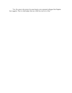"Yes. Do come to the rectory for some bread, as my esteemed colleague Don Peppino here suggests. Then we shall judge what use a little boy can be to a friar."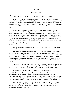# **Chapter Four**

#### **November 1943**

Don Peppino is coaching the boy in Latin, mathematics and Church history.

Despite the child never having attended school, he nonetheless could read Italian reasonably well and do simple sums. The priest knew nothing of the foundling's background, only that he'd plucked him from a narrow alley of the *Claustro dei Ebrei* on the night of the roundup. Adamo, in his turn, reveals nothing. He is an observer. He speaks only when spoken to. As he once did from inside a carved walnut wardrobe in the whorehouse, he listens and learns.

The old priest tells Adamo that the great Cathedral of Saint Peter and the Basilica of Saint John Lateran, which is the Pope's own church, are the palaces of God. They have always existed on Earth and will remain so until the end of time. Nobody built them. The Allies' powerful bombs cannot harm them. It was the same with all the other magnificent cathedrals of Europe. When God created the universe, He made these wonderful palaces for Himself to sojourn whenever He decided to visit there or needed to intervene in human affairs for one reason or another, which has been often, given the sorry history of the world.

The boy recoils at the impact of something unwholesome carried on the old man's breath.

"Then cathedrals are like dinosaurs, aren't they, Father? They're so big and powerful, nothing can harm them."

"No! Dinosaurs and cathedrals are not alike! The dinosaurs were evil beings like the hideous dragon that our noble San Giorgio slew with his lance, that is, before the pagan emperor ordered that he be tortured three times on the wheel of swords then decapitated. But that's another story. Cathedrals are sacred places where God resides, as are all churches where the consecrated Host is present at the altar. They are protected for all eternity by His Divine Will and therefore can never become extinct like the dinosaurs who were the issue of Lucifer."

"But Father, if God is all-knowing and all-powerful and all-loving, as you say, then why did He create dinosaurs and dragons in the first place? And can't He just remove them from the world? Why can't He remove the Germans too, and stop the bombs from falling?"

Don Peppino is unprepared for an eight-year-old's unexpected rebuttal.

"Well, now. An all-knowing and all-powerful and all-loving God wouldn't want to remove evil from the world if a greater good were achievable through its existence, now would He? You could say that the existence of evil allows good to be possible. For example, if there were no suffering, then there could be no sympathy and no caring either, no charity. Without wrong-doing, there could be no mercy. All our virtues would have no meaning at all.

"The world needs evil because it needs suffering and pain. Only through suffering do we arrive at a deeper understanding and fuller experience of love and goodness. There is no evil so great that we cannot imagine any goodness coming from it, no sin so grave that it doesn't merit compassion and mercy."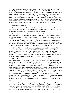Adamo's history lessons also tell him that it was the Rothschilds who salvaged the Pope's kingdom in the year 1850 with a large loan that enabled Pius IX to finance a mercenary army and recapture the Holy City from the godless republican horde, that is, after excommunicating the whole lot and sending their souls straight to Lucifer, father of the dinosaurs. In those glorious days, the *Stati Della Chiesa*, the Papal States as they were then called, encompassed the entire central Italian peninsula from the Ionian to the Adriatic Sea, from Lombardy in the north to the fortress of Gaeta on the border with Napoli, which was a vassal state of Catholic Spain, as well as the Avignon region of France. It was the Pope who crowned all the mighty kings and emperors of Europe starting with Carlo Magno.

Still, he is left confused.

"If the Jewish Rothschilds rescued the Pope from his enemies," the boy asks, "Then why did His Holiness allow the German soldiers to arrest all the Jews? And what's become of my sister, Atalia? Do you know where they took her, Father?"

"No, child. I don't know. These are troubled times we live in. God teaches through trial and error, although sometimes it seems to make no sense. He causes us to walk in darkness so that we may arrive at the light, but only He can understand the how and the why of it. "*La verità, caro mio ragazzo, che Dio no si preoccupa molto di ciò che accade sulla terra....* Truth is, my dear boy, God doesn't really concern Himself much with what happens here on earth. He's too busy with the business of running Heaven. His mother can help us though, if we only ask and make sacrifices in her honor. We must pray to Our Lady of the Sorrows and implore her to see us through these trials and tribulations and comfort us with her love."

The rest of the boy's time is spent assisting Signora Baldasso in the kitchen of the rectory where a stiff pallet has been prepared for him to sleep in a small alcove behind the coal-fired cook stove that the friars insist must be extinguished after Vespers to save fuel. Food and fuel shortages are severe in the Eternal City now that the British and American armies have taken Sicily, the breadbasket of the country, and are doggedly fighting their way northward up the Italian peninsula with the Germans and Italians in retreat.

Meanwhile, Adamo has discovered a loose iron bar in the grated window above his pallet that rests on the cold stone floor. If he removes the bar, the opening offers just space enough for a small boy to slip through, that is, if he strips naked and hasn't filled his tummy with the remains of the sumptuous meals the friars indulge in every night, leaving whatever scrapings remain in the bottom of the pots to him, the cook's boy, and the rectory's eight large dogs. The friars' larder is crammed with legs of salty prosciutto from Parma and wheels of Pecorino Romano cheese, as well as thousands of hard cured sausages, salami and soppressata dangling from the heavy chestnut beams of the cellar. There are casks of wine of every vintage dating back as far as the Roman Republic of 1849 when Garibaldi conquered the city and banished the Pope to exile in Naples. They collect their daily bread and pastry ration *gratis* from the local bakeries in a kind of gentle taxation. Pasta prices have tripled and bread prices quadrupled since 1938 when Mussolini's racial laws paved the way for the Pact of Steel with Germany. The city outside the rectory may be starving, but life inside is still good.

Adamo is focusing on how to squeeze his skinny frame through the enlarged opening in the grill so he can slip down the unlit streets to the marshaling yard where the coal tenders of trains, the ones Il Duce made to run on time, spilled their precious fuel between the shiny steel rails. Partisans have sabotaged the electrical power generating stations despite heavy repressive measures taken by the occupying Germans. There are few electric lamps burning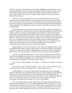in the city streets now, while shards of warm yellow candlelight escape from cracks in the shuttered and shaded windows of homes. He will gather whatever lumps of coal he can find in the darkness before the Ferrovie dello Stato guards or the Fascist military policemen discover the intrusion and chase him with their wooden cudgels or let loose the ferocious German Shepherd dogs.

There are always boys and men and even some women scouring these railyards for wood and coal to warm their families or the occasional bit of scrap iron or brass to sell for a few Lira. He takes special care not to soil or rip the thick woolen coat that the housekeeper has sewn for him out of scraps. When he arrives home with his pockets filled with chunks of pilfered anthracite, he'll rekindle the cook stove and stay warm until she arouses him at five to attend Matins.

Signora Baldasso has cautioned Adamo to steer clear of the crumbling Cenci palace at nighttime. Screams were often heard from inside the dark upper chambers, she tells him, and people sometimes report beams of light bobbing about behind the cracked and blackened windowpanes as the murdered family walks its silent corridors. She herself once caught a glimpse of the headless Beatrice stock-still in her blood-soaked negligée on a balcony under a full moon. This bit of advice she whispered to Adamo *sotto voce* the first time she discovered how it was he managed to keep the cook stove burning warmly all night, although Don Emilio was careful to remove the coal shuttle to the cellar whose heavy timbered and ironbound door he bolted and secured with a large brass padlock each evening before extinguishing all the candles and kerosene lamps in the building.

Signora Baldasso wore white cotton gloves on her hands and wrapped her feet in strips of soiled linen cloth inside her flimsy leather sandals, even in the humid heat of the Roman summer. The woman was odd, the boy figured, like the rest of them. Still, he accepted her advice and gave the old Cenci palace a wide berth as he hurried to and from the railyards.

One time, she had even allowed him to visit her tiny room at the base of the bell tower where they knelt together at the foot of her rusting iron bedstead with its hard, straw-filled mattress in the flickering candlelight to pray. On the pillow was perched a crudely carved wooden figurine of the child Jesus dressed in infant's clothing.

"Pray for your mother and father," she told him. "And then we will sing an Ave Maria together."

"My mother is dead," he replied succinctly. "And we haven't seen our father for years, not since he went to America. I want my sister. I'm going to pray for her."

Carlotta Baldasso rose from her calloused knees and hugged the skinny child tightly against the thick skirts and colorful patchwork apron covering her midsection, then dabbed at the corners of her large sad-puppy eyes with a crumpled flower-print handkerchief. The woman had no babies of her own and no husband to make one for her, despite calling herself *signora*, a title generally reserved for married women. Like everyone in the Rione Sant'Angelo, she already knew the tragic fate of her Jewish neighbors.

She was of medium stature, muddy complexioned, with badly hacked and disheveled black hair that wreathed her oval face and thick-lipped features like an angry nest of vipers. Young Adamo's first impression was one of revulsion. She was spare like the boy who, after only a few weeks of regular meals at the rectory, had entered a growth spurt. She'd worked here in the friars' kitchen practically all her life; well, to the extent of her memory, that is.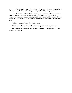She stayed close to San Gregorio and kept a low profile since people outside shunned her, for whatever reason, likely some long-forgotten transgression of their rough social code.

Her oldest memory and the subject of lingering nightmares was that of an angry mob shouting "*Diavola! Uccidere! Morte alla stregonina!*....Kill her, kill her, kill the little witch...." It was a much younger Don Peppino this time who rescued the wounded girl as the jeering crowd stooped to gather more loose paving stones and carried her to the rectory in his arms.

"What are you going to pray for?" the boy asked.

"*Nulla, gioia. Assolutamente nulla….*Nothing, my dear. Absolutely nothing."

Carlotta Baldasso was not a woman given to celebration but tonight she has allowed herself a fleeting smile.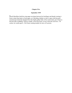# **Chapter Five**

# **September 1939**

Jacob Mortillaro held the crisp paper envelope between his forefinger and thumb, turning it front to back then back to front again, as if deciding whether to slice it open with the pearlmounted pen knife that dangled from the bright golden links of his watch chain, put it back in the post after scribbling 'return to sender' across the front, or toss it into the coal stove. Of course, he would open it. He'd been waiting months for news of Lucrezia.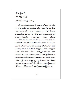New York 25 July 1989 My Dearest Jacopo,

Sincerest apologies to you and your family for the delay in writing after arriving in this marvelous city. The voyage from Napoli was uneventful, given the risks and uncertainty of trans-Atlantic crossings these days; nonetheless, all was gaiety aboard ship and we reached New York without incident. Our dear agent Torturicci was waiting at the pier and accompanied us to the lodgings he had arranged near Gentral Park and facilitated our introduction to various persons of influence in the musical theatre and grand opera circles here. The only one missing is you, first and best loved tenore di grazia of the Teatro dell'Opera di Roma. How we do wish you could join us.

1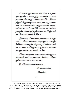Torturicci informs me that there is a part opening for someone of your caliber in next year's production of Aida at the Met. I have played the gramophone disks you cut for him and he is impressed with your vocal range, coloratura, and incredible sustain, as well as your fine resume of performances in Italy and the Opéra National de Paris.

Hyou can, I must have your response very The production company is already soon. holding auditions for the part of Radames and we can only stall long enough for you to book passage on the next available ship.

Please convey our warmest regards to your dear wife and two precious children. Janti affettuosi abbracci e baci a tutti.

La Malatesta sends her love....

In bocca al lupo,

Manufredi

2

Jacob refolded the single, gossamer-thin sheet, returning it to the envelope with its red, white and blue trimmed border and the Statue of Liberty engraved on the cancelled postage stamp that he secreted inside a sheaf of music under a tall pile of leather bound librettos and books. He thought he could detect Lucrezia's faint perfume emanating from between the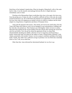florid lines of her husband's handwriting. When he thought of Manufredi's offer of the male lead in Aida, it was the smooth, moist passage between the diva's thighs that more immediately came to mind.

Working at the Metropolitan Opera would place him close to her again, this time away from the prying eyes of Anna, his wife. It would be a difficult sell but, in the end, she would accept his decision to go. He would frame the proposal as an opportunity to move the family far away from what was shaping up as another exercise in collective madness and the latest chapter in a long history of oppression and abuse of European Jewry.

Anna took the proposal with resolve. They barely survived on his small salary from the Teatro dell'Opera and whatever extra Lira he managed to earn entertaining at weddings and bar mitzvahs, she pointed out. Their fourteen-year-old daughter Atalia was next to useless. Mussolini had expelled all the Jewish children from the schools after enacting the racial laws only the year before. Now the girl lay about the apartment all day in a deep funk, absentmindedly thumbing her shabby collection of movie magazines and frequenting a nearby cinema after dark, her behavior the subject of many a heated family argument. Little Adamo, practically at his mother's breast, was too young to contribute anything to the family larder. Finally, they didn't have sufficient savings to purchase even one third-class steamship ticket to New York, never mind four.

Other than that, Anna informed her determined husband, he was free to go.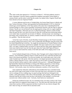# **Chapter Six**

The white smoke that appeared at 17:30 hours on March 2, 1939 had suddenly turned to black. Monsignor Vincenzo Santoro grabbed the telephone and dialed Vatican Radio to reassure Rome, and the entire world, that the smoke was indeed white. Eugenio Pacelli had been elected as the new Supreme Pontiff.

A career diplomat and favorite of Adolph Hitler, the former Papal Nuncio in Berlin and later Vatican Secretary of State, had negotiated the Reichskondordat of 1933 in which the Church gave moral legitimacy to the Nazi regime at the same time it disenfranchised the German bishops to create a more monolithic ecclesiastical structure with the Pope as supreme dictator. Pacelli now moved himself into the papal quarters along with two caged songbirds and Sister Pasqualina, a Bavarian nun, his so-called housekeeper. Rumors would circulate about the pair but they were short-lived since by then the world had more distressing matters on its mind. Italy was poised for an invasion of Albania. German troops were amassing on the border with Czechoslovakia. In America, students at Harvard University were swallowing live goldfish. Then the letter arrived.

In the first week of October, Jacob Mortillaro booked passage on the French steamship St. Nazaire sailing from Genoa to New York via Marseille and Gibraltar using the money that his friend Manufredi had wired him. He caught the morning train at Termini Station in time to put himself on the Genoa waterfront by nightfall. The man would not be seen or heard in Italy, ever again. Nothing further was known of Jacob until the white smoke appeared three times more and his heirs were far from the spot where the Teatro Dell'Opera di Roma's *tenore di grazia* had treated the country of his birth and cradle of his singing career to one final encore.

As her husband changed trains at Florence, then Viareggio and La Spezia faded into the distance, Anna Mortillaro gathered whatever family heirlooms she could find and delivered these to the nearest pawnbroker. Over the next months, she would make more visits to this small, bearded man with unruly white hair and tiny oval shaped spectacles hunkered down inside a cubical along the Tevere, a man who'd grown rich in times of adversity, benefitting from the bad life choices made by other residents of the *quartiere*. Although Shakespeare had lamentably depicted pawnbrokers as being of the Hebrew persuasion, at least during Elizabethan times, this was not at all true in the Rome of 1939. The man's name wasn't Shylock. Until recently, many Jews had been enthusiastic members of the Fascist Party.

Anna emptied her delicately embroidered cotton handkerchief into a tarnished metal tray laid on the rough wood counter in front of her and came away with almost two months' rent in exchange for her wedding ring, two pearl earrings that had once belonged to her mother, a thin gold necklace with a Star of David pendant, and a slender, white gold lady's diamond ring that she'd discovered one day in the pocket of her husband's overcoat and secreted away without another word. Curiously, Jacob had never mentioned it.

Taking her numbered receipt, she was reminded of the coat check counter at the Teatro dell'Opera and for no apparent reason began to cry. The little man told Anna that she could return there anytime with the repayment and there would not be any interest charged. But don't take too long, he warned with an uncertain smile.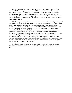On the way back to her apartment, she stopped at a news kiosk and purchased that evening's Il Messaggero, as well as a copy of L'Osservatore Romano, the Vatican's own news organ. Later she would peruse the help wanted sections in search of whatever she might chance to find there. Italian industry needed workers for the assembly lines, she reasoned, especially now when so many young men were being called up for military service and women were taking their places in the factories. Maybe her husband's leaving would not be so difficult after all.

They'd lately not been getting on so well and Anna felt herself approaching that stage of life when physical sex, never mind romantic love, seemed less appealing than sitting down to a good meal and afterwards enjoying a hot soothing bath. She'd long ago sensed that a woman could never experience true love – however the word 'true' might be defined – in a man's embrace and her husband's departure seemed to prove the point. Only with her children had she felt unqualified affection without any small print in the contract or other extraneous conditions attached. With Jacob, it was always a medium of exchange: he gave her the two children she'd planned for and put bread on the table, she gave him whatever else the man couldn't provide for himself. There wasn't a great meeting of minds here, nor any merging of souls. His career in grand opera had not produced the material comforts she'd expected and the man was often absent from the home for periods of time, sometimes without plausible explanation. All in all, their marriage was a disappointment. Quite suddenly now and without further ceremony, he was gone.

Despite this jumble of worrisome thoughts and defying all logic, Anna felt herself become unexpectedly lighter as if, in defiance of the odds, she was suddenly free to start over.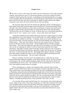#### **Chapter Seven**

 $\mathbf A$ t the end of a narrow street where she found a run down little piazza with a badly fractured fountain, Anna placed her copy of L'Osservatore Romano on the mossy marble rim before resting her bottom against the cool stone. A sprinkling of rain had moistened the cover pages of the newspapers that she had held above her head during the walk from the river toward the ghetto and now the limp, inky sheets came apart in clumps of papier-mâché in her fingers. Among the center sheets she discovered the adverts still crisp and dry.

She traced her finger down first the left then the right-hand column of Il Messaggero's help wanted section then tossed the paper aside and retrieved L'Osservatore Romano. Since she hadn't any trade or profession, such as nurse or hairdresser or pastry chef, and therefore brought no special skills to the job market, her initial search did not look at all promising. The factory jobs were all in Milano or Torino, not Roma, that was, as the Romans themselves joked, a city of "*torri, campane, preti e putane*…towers, bells, priests and whores."

Among the unskilled and semi-skilled labor pool, advertisers sought caregivers to attend their aged parents or provide company for an invalid but this was mainly nighttime work and Anna had her two children to look after. At fourteen, Atalia was as much a problem as was four-year-old Adamo. After the racial laws of 1938, all Jewish students were barred from the public schools – which were also Catholic schools since the Lateran Treaty of 1929 gave control of education in Italy to the Church – and her daughter had been forcibly expelled from classes. Since then, the defiant girl came and went as she pleased, even after darkness fell over the city, ignoring her mother's words of caution that sometimes led to angry altercations. Anna didn't consider Atalia trustworthy and she could never rely on the girl to look after her little brother in her absence, especially at night when the girl was out roaming the streets, to feed him and keep him safe. She thought about taking in laundry or looking after other people's children but where to start? The Roman nobility and bourgeoisie had live-in nannies and housekeepers. The rest couldn't afford help.

When no valuables were left to pawn, the landlord came to collect the rent money himself rather than sending his daughter, as had earlier been the custom. The man was blunt in his proposal. The woman needed something, namely this flat of his that her family had occupied during the last six years. She could pay for the accommodations in Lira notes or they could negotiate another means of exchange.

When a husband goes to America, the shameless fellow informed Anna, he finds another woman to fill his need. There was no shortage of females, especially in New York. They waited in droves for the handsome Italian men when they disembarked at the wharves in Manhattan, taking their pick and leading them straight home to bed. He knew about these things. He'd been to America himself, worked hard and come back with money to purchase these flats that he rented to people in the ghetto. Now he was enjoying the fruits of his labor. But how many other fine husbands like him had she seen returning from America to their families or sending the passage money as they promised? They rarely ever did.

As he mouths all these truths and half-truths, his voice becomes softer and he places his coarse, unshaven face closer to her cheek, whispering. As if they had a mind and will of their own, his fingers begin to remove the top button of her blouse, then the next button and the next until he can just slip his hand inside to cup one of her small breasts. Anna feels her nipples harden. She knows that a pact has been drawn up and sealed without her having to utter a single word.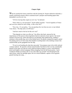# **Chapter Eight**

When he reached the Genoa waterfront with the looming St. Nazaire tethered at dockside, a smartly uniformed customs officer examined Jacob's passport and boarding papers then demanded to see his exit visa.

"All Jews leaving Italy require an exit visa," he declared.

"Since when is a visa necessary?" Jacob replied, puzzled. "I travel regularly to France and was never asked for such a thing. Is this a new law?"

"Not a law. It's our policy. You can purchase the visa from me now or stay behind. Your choice. The ship sails at 22:00 hours."

"And how much is the fee for this exit visa?"

"That depends on what you offer me," the officer shot back, annoyed by the impertinence of this person whom legislation had now deemed a lesser species. He turned instead to the heavyset, mink clad matron in an absurdly large feathered hat, cradling a miniature white poodle dog, next in line behind Jacob. He quickly stamped her papers, patted the panting mutt on its furry head, then handed everything back to the smirking woman who strutted boldly up the gangplank into the ship.

"If you're not boarding the ship then step aside," the pompous man in his richly tailored costume ordered. He sported a chrome-tanned leather Sam Brown belt over his considerable paunch in the same way that an overly endowed matron employs a corset, with holstered pistol and brightly colored campaign ribbons dangling from the left breast pocket. Jacob wondered whether art mimics life or was it the other way around? He felt himself at the opera house, under the spotlight again, the love-struck Radamès, captain of the Egyptian guards bursting into song….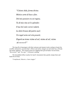"Celeste Aida, forma divina. Mistico serto di luce e fior, Del mio pensiero tu sei regina, Tu di mia vita sei lo splendor. Il tuo bel cielo vorrei redarti, Le dolci brezze del patrio suol; Un regal serta sul crin posarti, Ergerti un trono vicino al sol, vicino al sol, vicino  $al s-o-o-l!"$ 

The long file of passengers with their suitcases and steamer trucks waiting to board, the scruffily clad porters, assorted ship's officers and sailors, hangers-on and wharf rats, all break into hearty applause. The customs goons are clapping their gloved hands. Several shout, "*Bravissimo!*" and *"Da capo!*" Everyone is smiling.

The bemedalled officer reaches for Jacob's documents then quickly stamps them and hands the lot back.

"*Complimenti, Maestro, e buon viaggio*."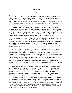#### **Chapter Nine**

#### **May 1940**

The landlord finished his business and reached to the floor to recover his trousers before leaving while Anna lay naked and sweaty on the crumpled bed, the one that she and Jacob had shared and where she had birthed both her children. She calmly surveyed this unexpected stranger who had so artlessly entered her life, neither lover nor client, and for whom, despite the circumstances and defying all logic, she was beginning to experience some tender feelings.

The man was rough and uncultured in practically every way, so unlike the meticulously groomed Jacob with his penchant for learning, extensive knowledge of the Talmud, and his musical abilities. Nevertheless, he was better endowed and more sexually accomplished than her absentee husband and Anna, who despite her timid self was a secret risk taker, had lately decided she would open herself a little to him, that is, she had allowed him to bring her to orgasm which was a feat that Jacob, after so many years, never quite managed.

After five months without any word, she had come to regard Jacob Mortillaro as her exhusband and each passing day confirmed the validity of the landlord's remarks. A man quickly finds another woman to fulfill his need. When a husband goes to America, he rarely comes back. This is what he had said the day he came to collect and she had no money to pay the rent. The words were pure *spezzatura* and like a splattering of wine stains they simply refused to wash away.

She had submitted to his proposal under duress, in a spirit of acceptance, and without much resistance. The angry, wrathful HaShem was sometimes prone to overlooking acceptance of evil, she thought, if it were done without compromise and out of necessity. Like the virgin daughters of Lot, for instance, who eagerly coupled with their besotted father to prevent the extinction of the whole human race, while Sodom burned in the background. Acceptance was one thing, but the Almighty didn't like compromises. His was a Fascist universe starkly delineated in black and white. There were only the victor and the vanquished, which made perfect sense. In a compromise between food and poison, she reasoned, death was the only sure outcome. Therefore, Anna had accepted the inevitable and allowed herself to be vanquished.

Of course, acceptance of a necessary evil could never constitute a good, but then the complexion of things seemed to be changing, at least on her side of the affair. She was acquiring a physical need for this man, like Mussolini had developed an affinity for Hitler despite his keeping a Jewish mistress. Given that she was beginning to receive more satisfaction from their encounters than just rent relief, if she were forced to choose now between the man's rough embrace and a hot soothing bath, she'd gladly forgo the bath.

He flipped the thick suspender straps one after another over his shoulders, straightened his waistband and patted down the crumpled trouser fronts then, before opening the door to leave, reached into a front pocket to extract a few Lira notes and placed them on her dressing table. Anna said nothing, not even thanks. She didn't need to wash his soiled undergarments or prepare his pasta for him or endure his complaints about her relatives or listen to a neverending litany of annoyances or share a life that had long since degenerated into a routine of hostility and petty bickering. She wasn't his wife.